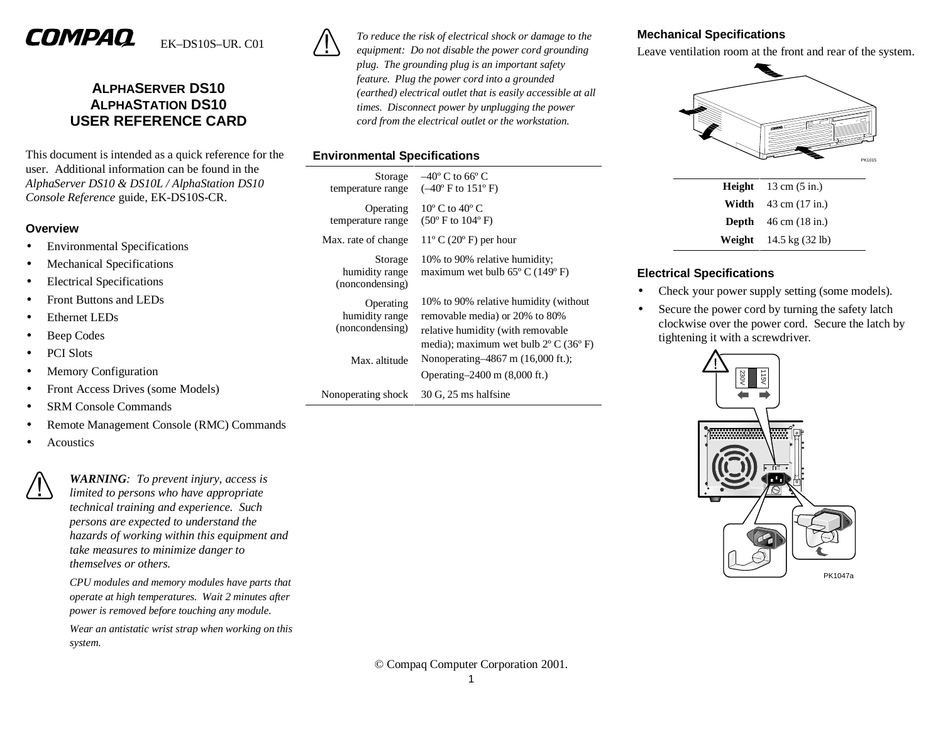# COMPAO

# EK–DS10S–UR. C01

# **ALPHASERVER DS10 ALPHASTATION DS10 USER REFERENCE CARD**

This document is intended as a quick reference for the user. Additional information can be found in the *AlphaServer DS10 & DS10L / AlphaStation DS10 Console Reference* guide, EK-DS10S-CR.

#### **Overview**

- Environmental Specifications
- Mechanical Specifications
- Electrical Specifications
- Front Buttons and LEDs
- Ethernet LEDs
- Beep Codes
- PCI Slots
- Memory Configuration
- Front Access Drives (some Models)
- SRM Console Commands
- Remote Management Console (RMC) Commands
- **Acoustics**



*WARNING: To prevent injury, access is limited to persons who have appropriate technical training and experience. Such persons are expected to understand the hazards of working within this equipment and take measures to minimize danger to themselves or others.* 

*CPU modules and memory modules have parts that operate at high temperatures. Wait 2 minutes after power is removed before touching any module.* 

*Wear an antistatic wrist strap when working on this system.*



*To reduce the risk of electrical shock or damage to the equipment: Do not disable the power cord grounding plug. The grounding plug is an important safety feature. Plug the power cord into a grounded (earthed) electrical outlet that is easily accessible at all times. Disconnect power by unplugging the power cord from the electrical outlet or the workstation.* 

# **Environmental Specifications**

| Storage<br>temperature range                   | $-40^{\circ}$ C to 66 $^{\circ}$ C<br>$(-40^{\circ}$ F to $151^{\circ}$ F)                                                                                               |
|------------------------------------------------|--------------------------------------------------------------------------------------------------------------------------------------------------------------------------|
| Operating<br>temperature range                 | $10^{\circ}$ C to $40^{\circ}$ C<br>$(50^{\circ} \text{ F to } 104^{\circ} \text{ F})$                                                                                   |
| Max. rate of change                            | $11^{\circ}$ C (20 $^{\circ}$ F) per hour                                                                                                                                |
| Storage<br>humidity range<br>(noncondensing)   | 10% to 90% relative humidity;<br>maximum wet bulb $65^{\circ}$ C (149 $^{\circ}$ F)                                                                                      |
| Operating<br>humidity range<br>(noncondensing) | 10% to 90% relative humidity (without<br>removable media) or 20% to 80%<br>relative humidity (with removable<br>media); maximum wet bulb $2^{\circ}$ C (36 $^{\circ}$ F) |
| Max. altitude                                  | Nonoperating-4867 m (16,000 ft.);<br>Operating–2400 m (8,000 ft.)                                                                                                        |
| Nonoperating shock                             | $30$ G, $25$ ms halfsine                                                                                                                                                 |
|                                                |                                                                                                                                                                          |

## **Mechanical Specifications**

Leave ventilation room at the front and rear of the system.



| <b>Height</b> $13 \text{ cm } (5 \text{ in.})$  |
|-------------------------------------------------|
| <b>Width</b> $43 \text{ cm } (17 \text{ in.})$  |
| <b>Depth</b> $46 \text{ cm} (18 \text{ in.})$   |
| <b>Weight</b> $14.5 \text{ kg} (32 \text{ lb})$ |

# **Electrical Specifications**

- Check your power supply setting (some models).
- Secure the power cord by turning the safety latch clockwise over the power cord. Secure the latch by tightening it with a screwdriver.

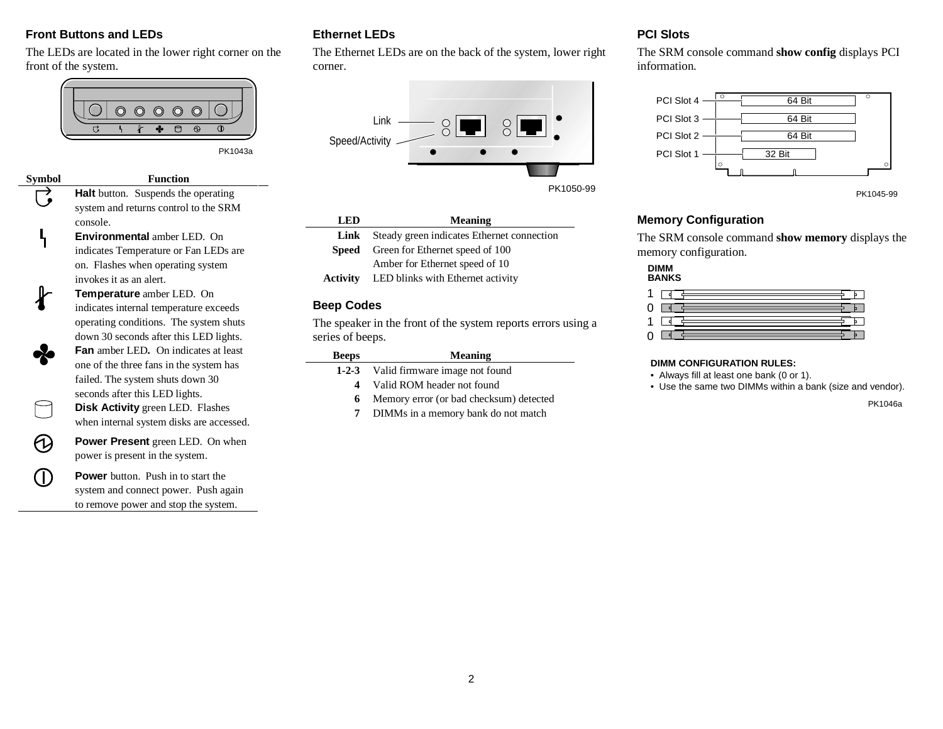### **Front Buttons and LEDs**

Ҷ

 $\Theta$ 

**CD** 

The LEDs are located in the lower right corner on the front of the system.



PK1043a

**Symbol Function Halt** button. Suspends the operating system and returns control to the SRM console.

> **Environmental** amber LED. On indicates Temperature or Fan LEDs are on. Flashes when operating system invokes it as an alert.

**Temperature** amber LED. On indicates internal temperature exceeds operating conditions. The system shuts down 30 seconds after this LED lights. **Fan** amber LED**.** On indicates at least one of the three fans in the system has failed. The system shuts down 30 seconds after this LED lights.

**Disk Activity** green LED. Flashes when internal system disks are accessed.

**Power Present** green LED. On when power is present in the system.

**Power** button. Push in to start the system and connect power. Push again to remove power and stop the system.

# **Ethernet LEDs**

The Ethernet LEDs are on the back of the system, lower right corner.



| LED      | <b>Meaning</b>                             |
|----------|--------------------------------------------|
| Link     | Steady green indicates Ethernet connection |
| Speed    | Green for Ethernet speed of 100            |
|          | Amber for Ethernet speed of 10             |
| Activity | LED blinks with Ethernet activity          |
|          |                                            |

#### **Beep Codes**

The speaker in the front of the system reports errors using a series of beeps.

| <b>Beeps</b> | <b>Meaning</b>                          |
|--------------|-----------------------------------------|
| $1 - 2 - 3$  | Valid firmware image not found          |
| 4            | Valid ROM header not found              |
| 6            | Memory error (or bad checksum) detected |
|              | DIMMs in a memory bank do not match     |

#### **PCI Slots**

The SRM console command **show config** displays PCI information.



PK1045-99

#### **Memory Configuration**

The SRM console command **show memory** displays the memory configuration.

#### **DIMMBANKS**

| 0. | and the control of the control of<br>and the control of the control of the |  |
|----|----------------------------------------------------------------------------|--|
| 1. |                                                                            |  |
|    | the control of the control of the<br>the control of the control of the     |  |

#### **DIMM CONFIGURATION RULES:**

- Always fill at least one bank (0 or 1).
- Use the same two DIMMs within a bank (size and vendor).

PK1046a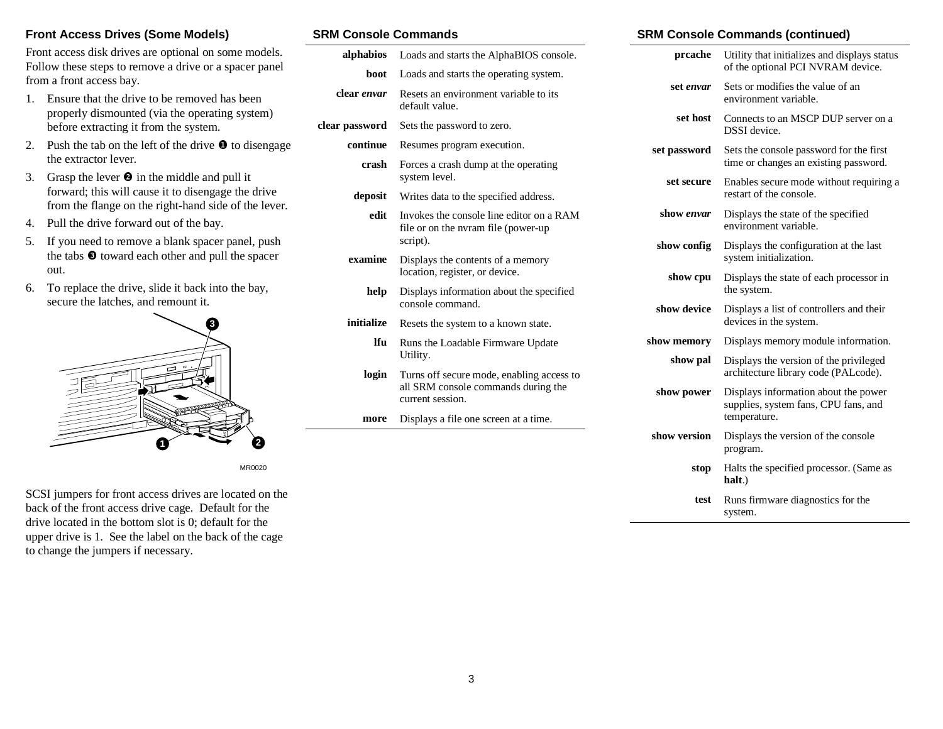#### **Front Access Drives (Some Models)**

Front access disk drives are optional on some models. Follow these steps to remove a drive or a spacer panel from a front access bay.

- 1. Ensure that the drive to be removed has been properly dismounted (via the operating system) before extracting it from the system.
- 2. Push the tab on the left of the drive  $\bullet$  to disengage the extractor lever.
- 3. Grasp the lever  $\bullet$  in the middle and pull it forward; this will cause it to disengage the drive from the flange on the right-hand side of the lever.
- 4. Pull the drive forward out of the bay.
- 5. If you need to remove a blank spacer panel, push the tabs  $\bullet$  toward each other and pull the spacer out.
- 6. To replace the drive, slide it back into the bay, secure the latches, and remount it.



MR0020

SCSI jumpers for front access drives are located on the back of the front access drive cage. Default for the drive located in the bottom slot is 0; default for the upper drive is 1. See the label on the back of the cage to change the jumpers if necessary.

#### **SRM Console Commands**

| alphabios      | Loads and starts the AlphaBIOS console.                                                              |  |
|----------------|------------------------------------------------------------------------------------------------------|--|
| boot           | Loads and starts the operating system.                                                               |  |
| clear envar    | Resets an environment variable to its<br>default value.                                              |  |
| clear password | Sets the password to zero.                                                                           |  |
| continue       | Resumes program execution.                                                                           |  |
| crash          | Forces a crash dump at the operating<br>system level.                                                |  |
| deposit        | Writes data to the specified address.                                                                |  |
| edit           | Invokes the console line editor on a RAM<br>file or on the nyram file (power-up)<br>script).         |  |
| examine        | Displays the contents of a memory<br>location, register, or device.                                  |  |
| help           | Displays information about the specified<br>console command.                                         |  |
| initialize     | Resets the system to a known state.                                                                  |  |
| lfu            | Runs the Loadable Firmware Update<br>Utility.                                                        |  |
| login          | Turns off secure mode, enabling access to<br>all SRM console commands during the<br>current session. |  |
| more           | Displays a file one screen at a time.                                                                |  |
|                |                                                                                                      |  |

#### **SRM Console Commands (continued)**

| prcache      | Utility that initializes and displays status<br>of the optional PCI NVRAM device.            |  |  |
|--------------|----------------------------------------------------------------------------------------------|--|--|
| set envar    | Sets or modifies the value of an<br>environment variable.                                    |  |  |
| set host     | Connects to an MSCP DUP server on a<br><b>DSSI</b> device.                                   |  |  |
| set password | Sets the console password for the first<br>time or changes an existing password.             |  |  |
| set secure   | Enables secure mode without requiring a<br>restart of the console.                           |  |  |
| show envar   | Displays the state of the specified<br>environment variable.                                 |  |  |
| show config  | Displays the configuration at the last<br>system initialization.                             |  |  |
| show cpu     | Displays the state of each processor in<br>the system.                                       |  |  |
| show device  | Displays a list of controllers and their<br>devices in the system.                           |  |  |
| show memory  | Displays memory module information.                                                          |  |  |
| show pal     | Displays the version of the privileged<br>architecture library code (PALcode).               |  |  |
| show power   | Displays information about the power<br>supplies, system fans, CPU fans, and<br>temperature. |  |  |
| show version | Displays the version of the console<br>program.                                              |  |  |
| stop         | Halts the specified processor. (Same as<br>halt.)                                            |  |  |
| test         | Runs firmware diagnostics for the<br>system.                                                 |  |  |